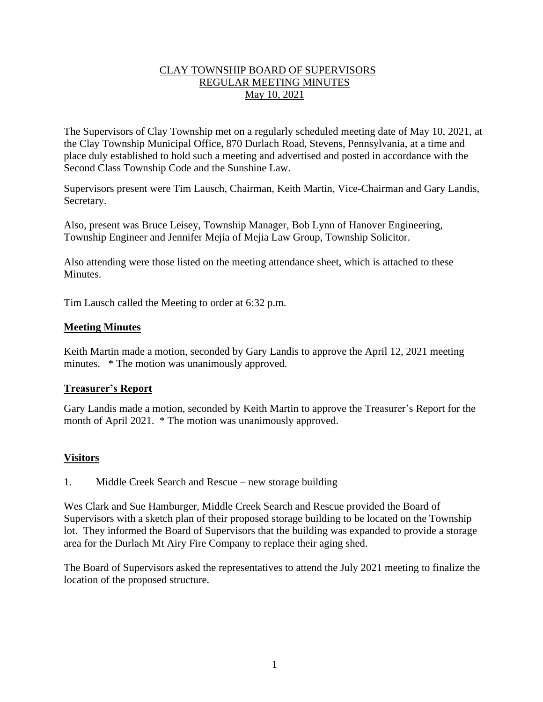## CLAY TOWNSHIP BOARD OF SUPERVISORS REGULAR MEETING MINUTES May 10, 2021

The Supervisors of Clay Township met on a regularly scheduled meeting date of May 10, 2021, at the Clay Township Municipal Office, 870 Durlach Road, Stevens, Pennsylvania, at a time and place duly established to hold such a meeting and advertised and posted in accordance with the Second Class Township Code and the Sunshine Law.

Supervisors present were Tim Lausch, Chairman, Keith Martin, Vice-Chairman and Gary Landis, Secretary.

Also, present was Bruce Leisey, Township Manager, Bob Lynn of Hanover Engineering, Township Engineer and Jennifer Mejia of Mejia Law Group, Township Solicitor.

Also attending were those listed on the meeting attendance sheet, which is attached to these Minutes.

Tim Lausch called the Meeting to order at 6:32 p.m.

#### **Meeting Minutes**

Keith Martin made a motion, seconded by Gary Landis to approve the April 12, 2021 meeting minutes. \* The motion was unanimously approved.

#### **Treasurer's Report**

Gary Landis made a motion, seconded by Keith Martin to approve the Treasurer's Report for the month of April 2021. \* The motion was unanimously approved.

## **Visitors**

1. Middle Creek Search and Rescue – new storage building

Wes Clark and Sue Hamburger, Middle Creek Search and Rescue provided the Board of Supervisors with a sketch plan of their proposed storage building to be located on the Township lot. They informed the Board of Supervisors that the building was expanded to provide a storage area for the Durlach Mt Airy Fire Company to replace their aging shed.

The Board of Supervisors asked the representatives to attend the July 2021 meeting to finalize the location of the proposed structure.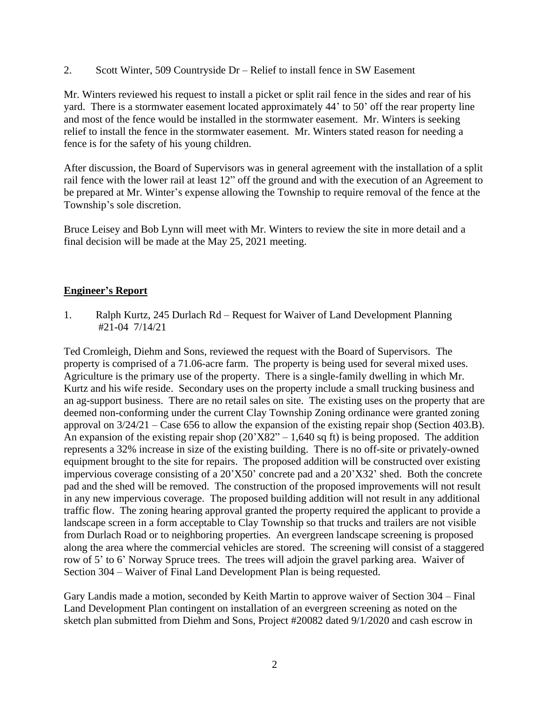2. Scott Winter, 509 Countryside Dr – Relief to install fence in SW Easement

Mr. Winters reviewed his request to install a picket or split rail fence in the sides and rear of his yard. There is a stormwater easement located approximately 44' to 50' off the rear property line and most of the fence would be installed in the stormwater easement. Mr. Winters is seeking relief to install the fence in the stormwater easement. Mr. Winters stated reason for needing a fence is for the safety of his young children.

After discussion, the Board of Supervisors was in general agreement with the installation of a split rail fence with the lower rail at least 12" off the ground and with the execution of an Agreement to be prepared at Mr. Winter's expense allowing the Township to require removal of the fence at the Township's sole discretion.

Bruce Leisey and Bob Lynn will meet with Mr. Winters to review the site in more detail and a final decision will be made at the May 25, 2021 meeting.

#### **Engineer's Report**

1. Ralph Kurtz, 245 Durlach Rd – Request for Waiver of Land Development Planning #21-04 7/14/21

Ted Cromleigh, Diehm and Sons, reviewed the request with the Board of Supervisors. The property is comprised of a 71.06-acre farm. The property is being used for several mixed uses. Agriculture is the primary use of the property. There is a single-family dwelling in which Mr. Kurtz and his wife reside. Secondary uses on the property include a small trucking business and an ag-support business. There are no retail sales on site. The existing uses on the property that are deemed non-conforming under the current Clay Township Zoning ordinance were granted zoning approval on 3/24/21 – Case 656 to allow the expansion of the existing repair shop (Section 403.B). An expansion of the existing repair shop  $(20'X82" - 1,640$  sq ft) is being proposed. The addition represents a 32% increase in size of the existing building. There is no off-site or privately-owned equipment brought to the site for repairs. The proposed addition will be constructed over existing impervious coverage consisting of a 20'X50' concrete pad and a 20'X32' shed. Both the concrete pad and the shed will be removed. The construction of the proposed improvements will not result in any new impervious coverage. The proposed building addition will not result in any additional traffic flow. The zoning hearing approval granted the property required the applicant to provide a landscape screen in a form acceptable to Clay Township so that trucks and trailers are not visible from Durlach Road or to neighboring properties. An evergreen landscape screening is proposed along the area where the commercial vehicles are stored. The screening will consist of a staggered row of 5' to 6' Norway Spruce trees. The trees will adjoin the gravel parking area. Waiver of Section 304 – Waiver of Final Land Development Plan is being requested.

Gary Landis made a motion, seconded by Keith Martin to approve waiver of Section 304 – Final Land Development Plan contingent on installation of an evergreen screening as noted on the sketch plan submitted from Diehm and Sons, Project #20082 dated 9/1/2020 and cash escrow in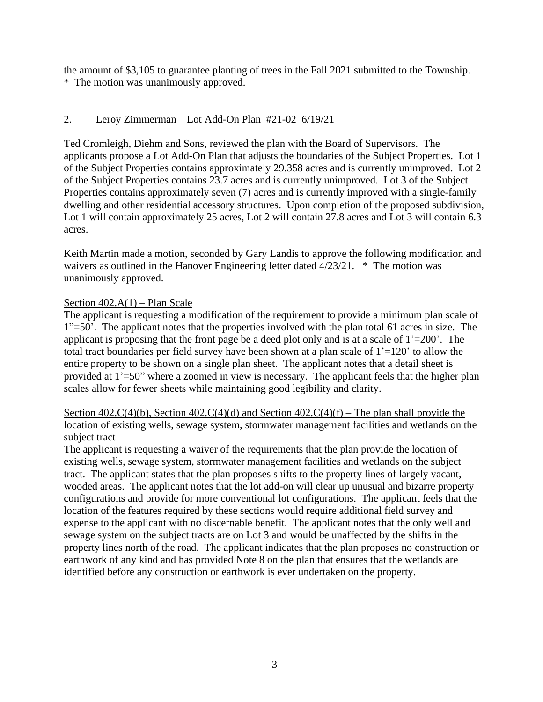the amount of \$3,105 to guarantee planting of trees in the Fall 2021 submitted to the Township. \* The motion was unanimously approved.

# 2. Leroy Zimmerman – Lot Add-On Plan #21-02 6/19/21

Ted Cromleigh, Diehm and Sons, reviewed the plan with the Board of Supervisors. The applicants propose a Lot Add-On Plan that adjusts the boundaries of the Subject Properties. Lot 1 of the Subject Properties contains approximately 29.358 acres and is currently unimproved. Lot 2 of the Subject Properties contains 23.7 acres and is currently unimproved. Lot 3 of the Subject Properties contains approximately seven (7) acres and is currently improved with a single-family dwelling and other residential accessory structures. Upon completion of the proposed subdivision, Lot 1 will contain approximately 25 acres, Lot 2 will contain 27.8 acres and Lot 3 will contain 6.3 acres.

Keith Martin made a motion, seconded by Gary Landis to approve the following modification and waivers as outlined in the Hanover Engineering letter dated 4/23/21. \* The motion was unanimously approved.

## Section  $402.A(1)$  – Plan Scale

The applicant is requesting a modification of the requirement to provide a minimum plan scale of 1"=50'. The applicant notes that the properties involved with the plan total 61 acres in size. The applicant is proposing that the front page be a deed plot only and is at a scale of  $1'$ =200'. The total tract boundaries per field survey have been shown at a plan scale of  $1'$ =120' to allow the entire property to be shown on a single plan sheet. The applicant notes that a detail sheet is provided at 1'=50" where a zoomed in view is necessary. The applicant feels that the higher plan scales allow for fewer sheets while maintaining good legibility and clarity.

## Section 402.C(4)(b), Section 402.C(4)(d) and Section 402.C(4)(f) – The plan shall provide the location of existing wells, sewage system, stormwater management facilities and wetlands on the subject tract

The applicant is requesting a waiver of the requirements that the plan provide the location of existing wells, sewage system, stormwater management facilities and wetlands on the subject tract. The applicant states that the plan proposes shifts to the property lines of largely vacant, wooded areas. The applicant notes that the lot add-on will clear up unusual and bizarre property configurations and provide for more conventional lot configurations. The applicant feels that the location of the features required by these sections would require additional field survey and expense to the applicant with no discernable benefit. The applicant notes that the only well and sewage system on the subject tracts are on Lot 3 and would be unaffected by the shifts in the property lines north of the road. The applicant indicates that the plan proposes no construction or earthwork of any kind and has provided Note 8 on the plan that ensures that the wetlands are identified before any construction or earthwork is ever undertaken on the property.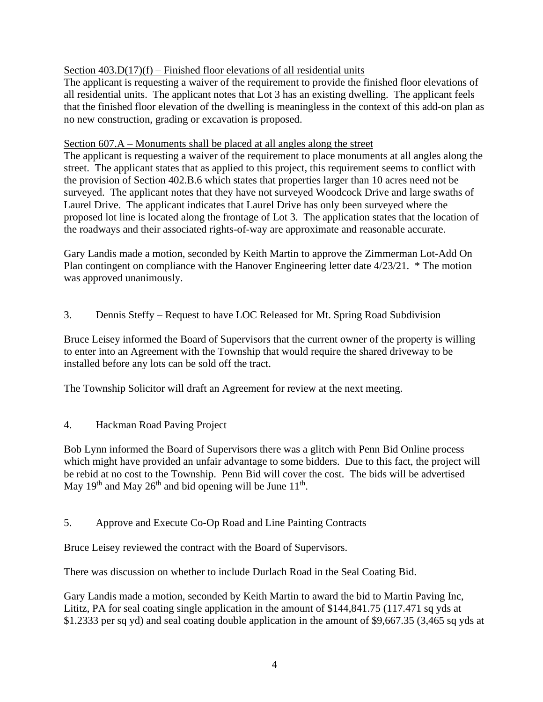# Section  $403.D(17)(f)$  – Finished floor elevations of all residential units

The applicant is requesting a waiver of the requirement to provide the finished floor elevations of all residential units. The applicant notes that Lot 3 has an existing dwelling. The applicant feels that the finished floor elevation of the dwelling is meaningless in the context of this add-on plan as no new construction, grading or excavation is proposed.

# Section 607.A – Monuments shall be placed at all angles along the street

The applicant is requesting a waiver of the requirement to place monuments at all angles along the street. The applicant states that as applied to this project, this requirement seems to conflict with the provision of Section 402.B.6 which states that properties larger than 10 acres need not be surveyed. The applicant notes that they have not surveyed Woodcock Drive and large swaths of Laurel Drive. The applicant indicates that Laurel Drive has only been surveyed where the proposed lot line is located along the frontage of Lot 3. The application states that the location of the roadways and their associated rights-of-way are approximate and reasonable accurate.

Gary Landis made a motion, seconded by Keith Martin to approve the Zimmerman Lot-Add On Plan contingent on compliance with the Hanover Engineering letter date 4/23/21. \* The motion was approved unanimously.

3. Dennis Steffy – Request to have LOC Released for Mt. Spring Road Subdivision

Bruce Leisey informed the Board of Supervisors that the current owner of the property is willing to enter into an Agreement with the Township that would require the shared driveway to be installed before any lots can be sold off the tract.

The Township Solicitor will draft an Agreement for review at the next meeting.

4. Hackman Road Paving Project

Bob Lynn informed the Board of Supervisors there was a glitch with Penn Bid Online process which might have provided an unfair advantage to some bidders. Due to this fact, the project will be rebid at no cost to the Township. Penn Bid will cover the cost. The bids will be advertised May 19<sup>th</sup> and May 26<sup>th</sup> and bid opening will be June  $11<sup>th</sup>$ .

5. Approve and Execute Co-Op Road and Line Painting Contracts

Bruce Leisey reviewed the contract with the Board of Supervisors.

There was discussion on whether to include Durlach Road in the Seal Coating Bid.

Gary Landis made a motion, seconded by Keith Martin to award the bid to Martin Paving Inc, Lititz, PA for seal coating single application in the amount of \$144,841.75 (117.471 sq yds at \$1.2333 per sq yd) and seal coating double application in the amount of \$9,667.35 (3,465 sq yds at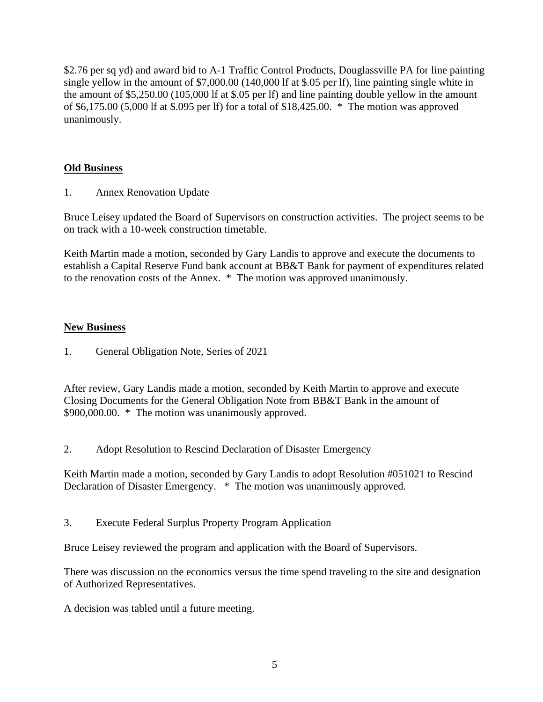\$2.76 per sq yd) and award bid to A-1 Traffic Control Products, Douglassville PA for line painting single yellow in the amount of \$7,000.00 (140,000 lf at \$.05 per lf), line painting single white in the amount of \$5,250.00 (105,000 lf at \$.05 per lf) and line painting double yellow in the amount of \$6,175.00 (5,000 lf at \$.095 per lf) for a total of \$18,425.00. \* The motion was approved unanimously.

# **Old Business**

1. Annex Renovation Update

Bruce Leisey updated the Board of Supervisors on construction activities. The project seems to be on track with a 10-week construction timetable.

Keith Martin made a motion, seconded by Gary Landis to approve and execute the documents to establish a Capital Reserve Fund bank account at BB&T Bank for payment of expenditures related to the renovation costs of the Annex. \* The motion was approved unanimously.

## **New Business**

1. General Obligation Note, Series of 2021

After review, Gary Landis made a motion, seconded by Keith Martin to approve and execute Closing Documents for the General Obligation Note from BB&T Bank in the amount of \$900,000.00. \* The motion was unanimously approved.

2. Adopt Resolution to Rescind Declaration of Disaster Emergency

Keith Martin made a motion, seconded by Gary Landis to adopt Resolution #051021 to Rescind Declaration of Disaster Emergency. \* The motion was unanimously approved.

3. Execute Federal Surplus Property Program Application

Bruce Leisey reviewed the program and application with the Board of Supervisors.

There was discussion on the economics versus the time spend traveling to the site and designation of Authorized Representatives.

A decision was tabled until a future meeting.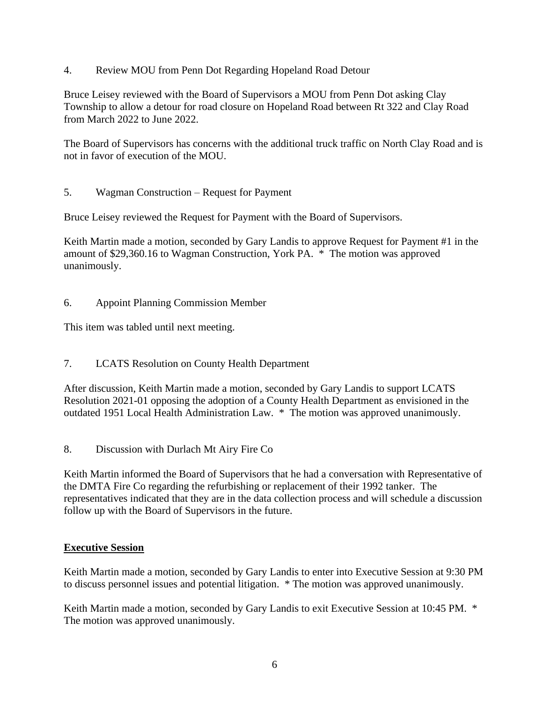4. Review MOU from Penn Dot Regarding Hopeland Road Detour

Bruce Leisey reviewed with the Board of Supervisors a MOU from Penn Dot asking Clay Township to allow a detour for road closure on Hopeland Road between Rt 322 and Clay Road from March 2022 to June 2022.

The Board of Supervisors has concerns with the additional truck traffic on North Clay Road and is not in favor of execution of the MOU.

5. Wagman Construction – Request for Payment

Bruce Leisey reviewed the Request for Payment with the Board of Supervisors.

Keith Martin made a motion, seconded by Gary Landis to approve Request for Payment #1 in the amount of \$29,360.16 to Wagman Construction, York PA. \* The motion was approved unanimously.

6. Appoint Planning Commission Member

This item was tabled until next meeting.

7. LCATS Resolution on County Health Department

After discussion, Keith Martin made a motion, seconded by Gary Landis to support LCATS Resolution 2021-01 opposing the adoption of a County Health Department as envisioned in the outdated 1951 Local Health Administration Law. \* The motion was approved unanimously.

8. Discussion with Durlach Mt Airy Fire Co

Keith Martin informed the Board of Supervisors that he had a conversation with Representative of the DMTA Fire Co regarding the refurbishing or replacement of their 1992 tanker. The representatives indicated that they are in the data collection process and will schedule a discussion follow up with the Board of Supervisors in the future.

## **Executive Session**

Keith Martin made a motion, seconded by Gary Landis to enter into Executive Session at 9:30 PM to discuss personnel issues and potential litigation. \* The motion was approved unanimously.

Keith Martin made a motion, seconded by Gary Landis to exit Executive Session at 10:45 PM. \* The motion was approved unanimously.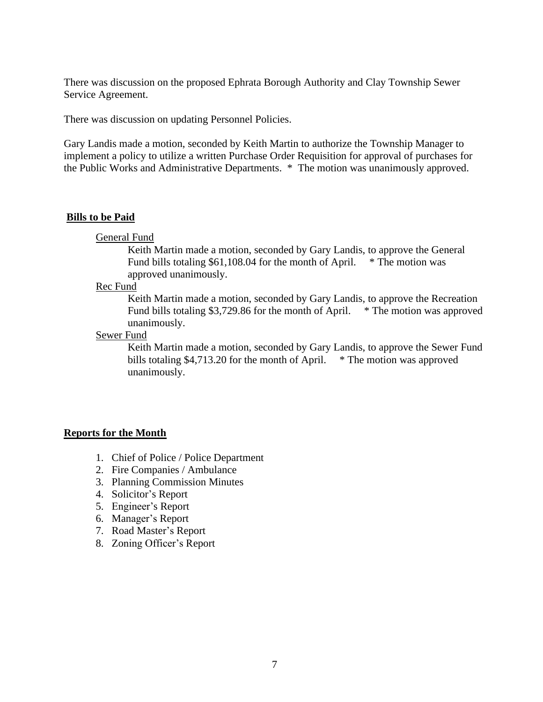There was discussion on the proposed Ephrata Borough Authority and Clay Township Sewer Service Agreement.

There was discussion on updating Personnel Policies.

Gary Landis made a motion, seconded by Keith Martin to authorize the Township Manager to implement a policy to utilize a written Purchase Order Requisition for approval of purchases for the Public Works and Administrative Departments. \* The motion was unanimously approved.

#### **Bills to be Paid**

General Fund

Keith Martin made a motion, seconded by Gary Landis, to approve the General Fund bills totaling \$61,108.04 for the month of April.  $*$  The motion was approved unanimously.

#### Rec Fund

Keith Martin made a motion, seconded by Gary Landis, to approve the Recreation Fund bills totaling \$3,729.86 for the month of April. \* The motion was approved unanimously.

Sewer Fund

Keith Martin made a motion, seconded by Gary Landis, to approve the Sewer Fund bills totaling \$4,713.20 for the month of April.  $*$  The motion was approved unanimously.

#### **Reports for the Month**

- 1. Chief of Police / Police Department
- 2. Fire Companies / Ambulance
- 3. Planning Commission Minutes
- 4. Solicitor's Report
- 5. Engineer's Report
- 6. Manager's Report
- 7. Road Master's Report
- 8. Zoning Officer's Report